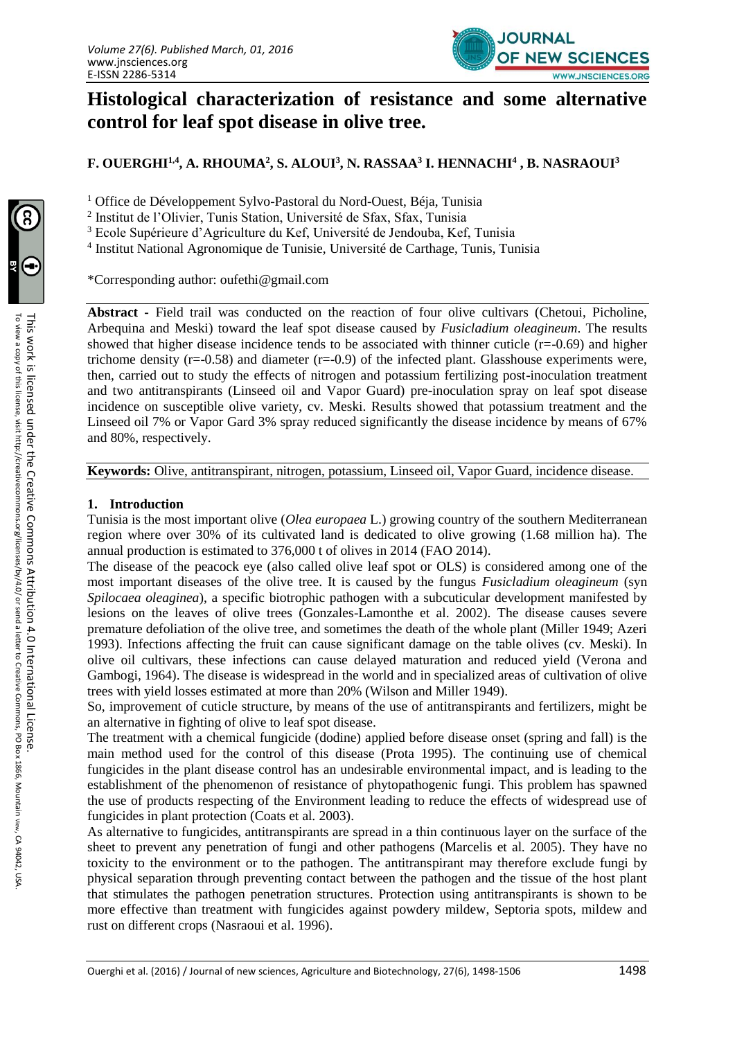

# **Histological characterization of resistance and some alternative control for leaf spot disease in olive tree.**

**F. OUERGHI1,4, A. RHOUMA<sup>2</sup> , S. ALOUI<sup>3</sup> , N. RASSAA<sup>3</sup> I. HENNACHI<sup>4</sup> , B. NASRAOUI<sup>3</sup>**

<sup>1</sup> Office de Développement Sylvo-Pastoral du Nord-Ouest, Béja, Tunisia

2 Institut de l'Olivier, Tunis Station, Université de Sfax, Sfax, Tunisia

<sup>3</sup> Ecole Supérieure d'Agriculture du Kef, Université de Jendouba, Kef, Tunisia

<sup>4</sup> Institut National Agronomique de Tunisie, Université de Carthage, Tunis, Tunisia

\*Corresponding author: oufethi@gmail.com

**Abstract -** Field trail was conducted on the reaction of four olive cultivars (Chetoui, Picholine, Arbequina and Meski) toward the leaf spot disease caused by *Fusicladium oleagineum*. The results showed that higher disease incidence tends to be associated with thinner cuticle  $(r=0.69)$  and higher trichome density ( $r=-0.58$ ) and diameter ( $r=-0.9$ ) of the infected plant. Glasshouse experiments were, then, carried out to study the effects of nitrogen and potassium fertilizing post-inoculation treatment and two antitranspirants (Linseed oil and Vapor Guard) pre-inoculation spray on leaf spot disease incidence on susceptible olive variety, cv. Meski. Results showed that potassium treatment and the Linseed oil 7% or Vapor Gard 3% spray reduced significantly the disease incidence by means of 67% and 80%, respectively.

**Keywords:** Olive, antitranspirant, nitrogen, potassium, Linseed oil, Vapor Guard, incidence disease.

### **1. Introduction**

Tunisia is the most important olive (*Olea europaea* L.) growing country of the southern Mediterranean region where over 30% of its cultivated land is dedicated to olive growing (1.68 million ha). The annual production is estimated to 376,000 t of olives in 2014 (FAO 2014).

The disease of the peacock eye (also called olive leaf spot or OLS) is considered among one of the most important diseases of the olive tree. It is caused by the fungus *Fusicladium oleagineum* (syn *Spilocaea oleaginea*), a specific biotrophic pathogen with a subcuticular development manifested by lesions on the leaves of olive trees (Gonzales-Lamonthe et al. 2002). The disease causes severe premature defoliation of the olive tree, and sometimes the death of the whole plant (Miller 1949; Azeri 1993). Infections affecting the fruit can cause significant damage on the table olives (cv. Meski). In olive oil cultivars, these infections can cause delayed maturation and reduced yield (Verona and Gambogi, 1964). The disease is widespread in the world and in specialized areas of cultivation of olive trees with yield losses estimated at more than 20% (Wilson and Miller 1949).

So, improvement of cuticle structure, by means of the use of antitranspirants and fertilizers, might be an alternative in fighting of olive to leaf spot disease.

The treatment with a chemical fungicide (dodine) applied before disease onset (spring and fall) is the main method used for the control of this disease (Prota 1995). The continuing use of chemical fungicides in the plant disease control has an undesirable environmental impact, and is leading to the establishment of the phenomenon of resistance of phytopathogenic fungi. This problem has spawned the use of products respecting of the Environment leading to reduce the effects of widespread use of fungicides in plant protection (Coats et al*.* 2003).

As alternative to fungicides, antitranspirants are spread in a thin continuous layer on the surface of the sheet to prevent any penetration of fungi and other pathogens (Marcelis et al*.* 2005). They have no toxicity to the environment or to the pathogen. The antitranspirant may therefore exclude fungi by physical separation through preventing contact between the pathogen and the tissue of the host plant that stimulates the pathogen penetration structures. Protection using antitranspirants is shown to be more effective than treatment with fungicides against powdery mildew, Septoria spots, mildew and rust on different crops (Nasraoui et al. 1996).

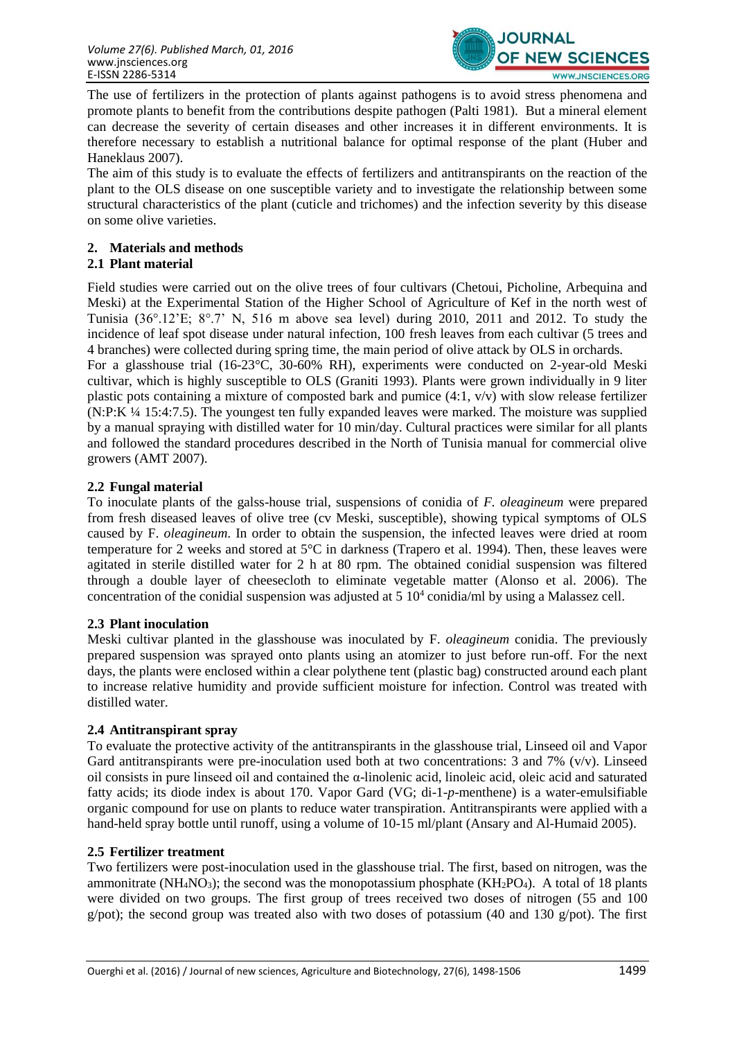

The use of fertilizers in the protection of plants against pathogens is to avoid stress phenomena and promote plants to benefit from the contributions despite pathogen (Palti 1981). But a mineral element can decrease the severity of certain diseases and other increases it in different environments. It is therefore necessary to establish a nutritional balance for optimal response of the plant (Huber and Haneklaus 2007).

The aim of this study is to evaluate the effects of fertilizers and antitranspirants on the reaction of the plant to the OLS disease on one susceptible variety and to investigate the relationship between some structural characteristics of the plant (cuticle and trichomes) and the infection severity by this disease on some olive varieties.

## **2. Materials and methods**

## **2.1 Plant material**

Field studies were carried out on the olive trees of four cultivars (Chetoui, Picholine, Arbequina and Meski) at the Experimental Station of the Higher School of Agriculture of Kef in the north west of Tunisia  $(36^{\circ}.12^{\circ}E; 8^{\circ}.7^{\circ}N, 516 \text{ m}$  above sea level) during 2010, 2011 and 2012. To study the incidence of leaf spot disease under natural infection, 100 fresh leaves from each cultivar (5 trees and 4 branches) were collected during spring time, the main period of olive attack by OLS in orchards.

For a glasshouse trial (16-23°C, 30-60% RH), experiments were conducted on 2-year-old Meski cultivar, which is highly susceptible to OLS (Graniti 1993). Plants were grown individually in 9 liter plastic pots containing a mixture of composted bark and pumice (4:1, v/v) with slow release fertilizer (N:P:K ¼ 15:4:7.5). The youngest ten fully expanded leaves were marked. The moisture was supplied by a manual spraying with distilled water for 10 min/day. Cultural practices were similar for all plants and followed the standard procedures described in the North of Tunisia manual for commercial olive growers (AMT 2007).

## **2.2 Fungal material**

To inoculate plants of the galss-house trial, suspensions of conidia of *F. oleagineum* were prepared from fresh diseased leaves of olive tree (cv Meski, susceptible), showing typical symptoms of OLS caused by F. *oleagineum*. In order to obtain the suspension, the infected leaves were dried at room temperature for 2 weeks and stored at 5°C in darkness (Trapero et al. 1994). Then, these leaves were agitated in sterile distilled water for 2 h at 80 rpm. The obtained conidial suspension was filtered through a double layer of cheesecloth to eliminate vegetable matter (Alonso et al. 2006). The concentration of the conidial suspension was adjusted at  $5\,10^4$  conidia/ml by using a Malassez cell.

## **2.3 Plant inoculation**

Meski cultivar planted in the glasshouse was inoculated by F. *oleagineum* conidia. The previously prepared suspension was sprayed onto plants using an atomizer to just before run-off. For the next days, the plants were enclosed within a clear polythene tent (plastic bag) constructed around each plant to increase relative humidity and provide sufficient moisture for infection. Control was treated with distilled water.

#### **2.4 Antitranspirant spray**

To evaluate the protective activity of the antitranspirants in the glasshouse trial, Linseed oil and Vapor Gard antitranspirants were pre-inoculation used both at two concentrations: 3 and 7%  $(v/v)$ . Linseed oil consists in pure linseed oil and contained the α-linolenic acid, linoleic acid, oleic acid and saturated fatty acids; its diode index is about 170. Vapor Gard (VG; di-1*-p*-menthene) is a water-emulsifiable organic compound for use on plants to reduce water transpiration. Antitranspirants were applied with a hand-held spray bottle until runoff, using a volume of 10-15 ml/plant (Ansary and Al-Humaid 2005).

## **2.5 Fertilizer treatment**

Two fertilizers were post-inoculation used in the glasshouse trial. The first, based on nitrogen, was the ammonitrate (NH<sub>4</sub>NO<sub>3</sub>); the second was the monopotassium phosphate (KH<sub>2</sub>PO<sub>4</sub>). A total of 18 plants were divided on two groups. The first group of trees received two doses of nitrogen (55 and 100 g/pot); the second group was treated also with two doses of potassium (40 and 130 g/pot). The first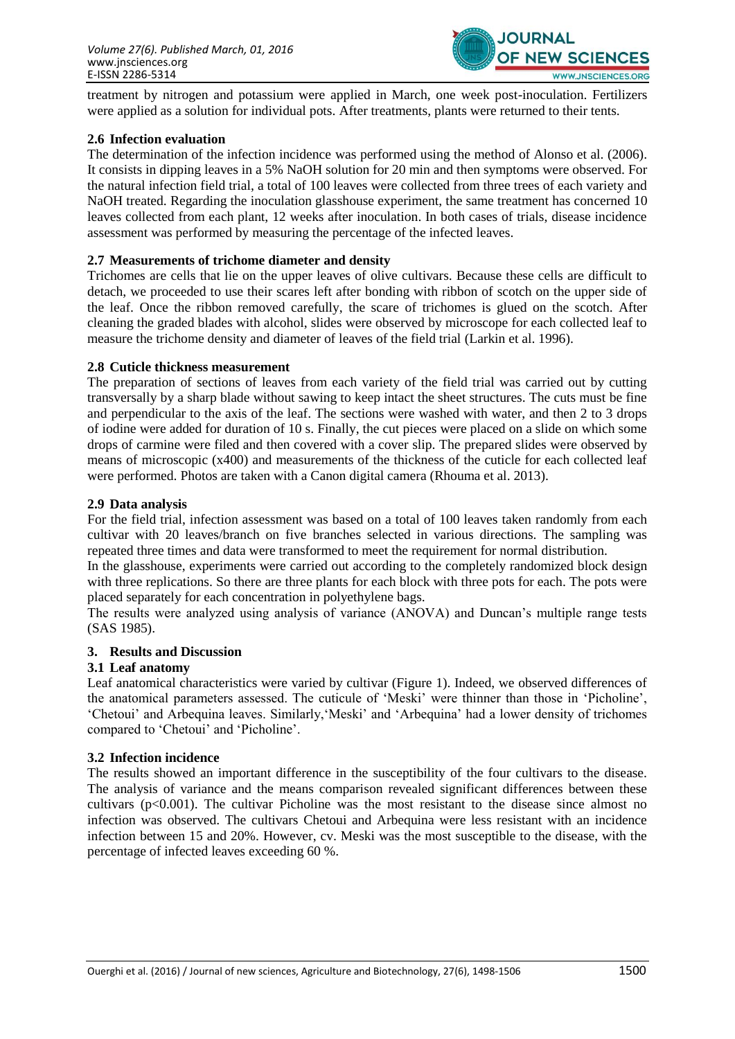

treatment by nitrogen and potassium were applied in March, one week post-inoculation. Fertilizers were applied as a solution for individual pots. After treatments, plants were returned to their tents.

#### **2.6 Infection evaluation**

The determination of the infection incidence was performed using the method of Alonso et al. (2006). It consists in dipping leaves in a 5% NaOH solution for 20 min and then symptoms were observed. For the natural infection field trial, a total of 100 leaves were collected from three trees of each variety and NaOH treated. Regarding the inoculation glasshouse experiment, the same treatment has concerned 10 leaves collected from each plant, 12 weeks after inoculation. In both cases of trials, disease incidence assessment was performed by measuring the percentage of the infected leaves.

#### **2.7 Measurements of trichome diameter and density**

Trichomes are cells that lie on the upper leaves of olive cultivars. Because these cells are difficult to detach, we proceeded to use their scares left after bonding with ribbon of scotch on the upper side of the leaf. Once the ribbon removed carefully, the scare of trichomes is glued on the scotch. After cleaning the graded blades with alcohol, slides were observed by microscope for each collected leaf to measure the trichome density and diameter of leaves of the field trial (Larkin et al. 1996).

#### **2.8 Cuticle thickness measurement**

The preparation of sections of leaves from each variety of the field trial was carried out by cutting transversally by a sharp blade without sawing to keep intact the sheet structures. The cuts must be fine and perpendicular to the axis of the leaf. The sections were washed with water, and then 2 to 3 drops of iodine were added for duration of 10 s. Finally, the cut pieces were placed on a slide on which some drops of carmine were filed and then covered with a cover slip. The prepared slides were observed by means of microscopic (x400) and measurements of the thickness of the cuticle for each collected leaf were performed. Photos are taken with a Canon digital camera (Rhouma et al. 2013).

#### **2.9 Data analysis**

For the field trial, infection assessment was based on a total of 100 leaves taken randomly from each cultivar with 20 leaves/branch on five branches selected in various directions. The sampling was repeated three times and data were transformed to meet the requirement for normal distribution.

In the glasshouse, experiments were carried out according to the completely randomized block design with three replications. So there are three plants for each block with three pots for each. The pots were placed separately for each concentration in polyethylene bags.

The results were analyzed using analysis of variance (ANOVA) and Duncan's multiple range tests (SAS 1985).

#### **3. Results and Discussion**

#### **3.1 Leaf anatomy**

Leaf anatomical characteristics were varied by cultivar (Figure 1). Indeed, we observed differences of the anatomical parameters assessed. The cuticule of 'Meski' were thinner than those in 'Picholine', 'Chetoui' and Arbequina leaves. Similarly,'Meski' and 'Arbequina' had a lower density of trichomes compared to 'Chetoui' and 'Picholine'.

#### **3.2 Infection incidence**

The results showed an important difference in the susceptibility of the four cultivars to the disease. The analysis of variance and the means comparison revealed significant differences between these cultivars ( $p<0.001$ ). The cultivar Picholine was the most resistant to the disease since almost no infection was observed. The cultivars Chetoui and Arbequina were less resistant with an incidence infection between 15 and 20%. However, cv. Meski was the most susceptible to the disease, with the percentage of infected leaves exceeding 60 %.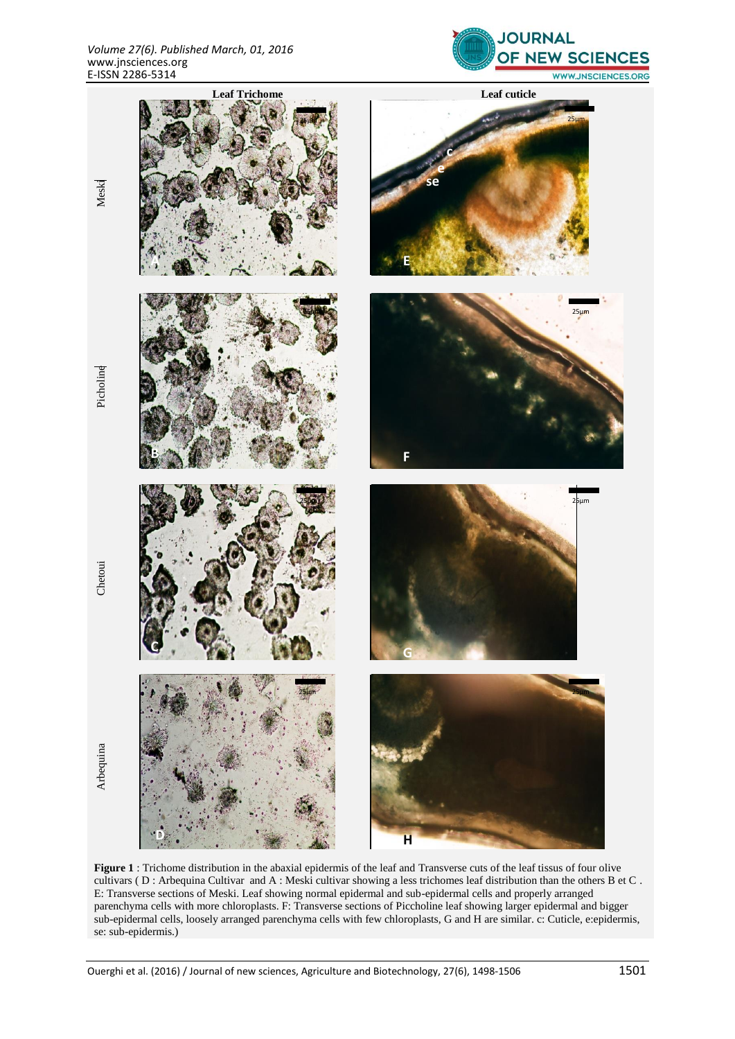



**Figure 1** : Trichome distribution in the abaxial epidermis of the leaf and Transverse cuts of the leaf tissus of four olive cultivars ( D : Arbequina Cultivar and A : Meski cultivar showing a less trichomes leaf distribution than the others B et C . E: Transverse sections of Meski. Leaf showing normal epidermal and sub-epidermal cells and properly arranged parenchyma cells with more chloroplasts. F: Transverse sections of Piccholine leaf showing larger epidermal and bigger sub-epidermal cells, loosely arranged parenchyma cells with few chloroplasts, G and H are similar. c: Cuticle, e:epidermis, se: sub-epidermis.)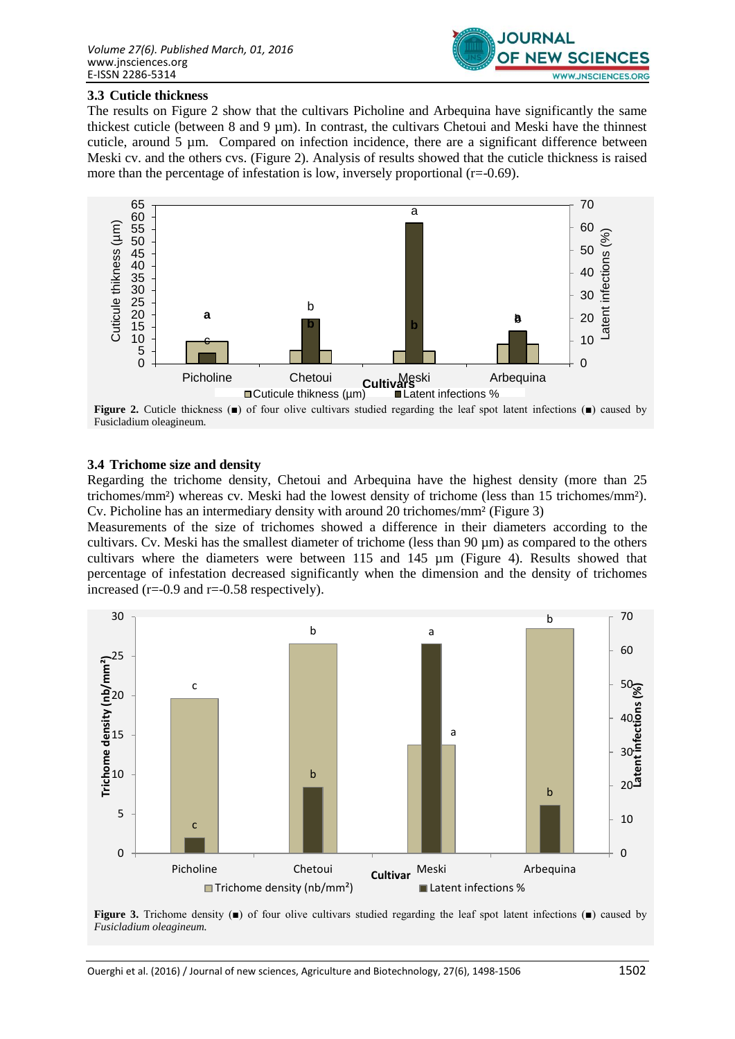

#### **3.3 Cuticle thickness**

The results on Figure 2 show that the cultivars Picholine and Arbequina have significantly the same thickest cuticle (between 8 and 9 µm). In contrast, the cultivars Chetoui and Meski have the thinnest cuticle, around 5 µm. Compared on infection incidence, there are a significant difference between Meski cv. and the others cvs. (Figure 2). Analysis of results showed that the cuticle thickness is raised more than the percentage of infestation is low, inversely proportional  $(r=0.69)$ .



**Figure 2.** Cuticle thickness (■) of four olive cultivars studied regarding the leaf spot latent infections (■) caused by Fusicladium oleagineum.

#### **3.4 Trichome size and density**

Regarding the trichome density, Chetoui and Arbequina have the highest density (more than 25 trichomes/mm²) whereas cv. Meski had the lowest density of trichome (less than 15 trichomes/mm²). Cv. Picholine has an intermediary density with around 20 trichomes/mm² (Figure 3)

Measurements of the size of trichomes showed a difference in their diameters according to the cultivars. Cv. Meski has the smallest diameter of trichome (less than 90 µm) as compared to the others cultivars where the diameters were between 115 and 145 µm (Figure 4). Results showed that percentage of infestation decreased significantly when the dimension and the density of trichomes increased ( $r=-0.9$  and  $r=-0.58$  respectively).



**Figure 3.** Trichome density (■) of four olive cultivars studied regarding the leaf spot latent infections (■) caused by *Fusicladium oleagineum.*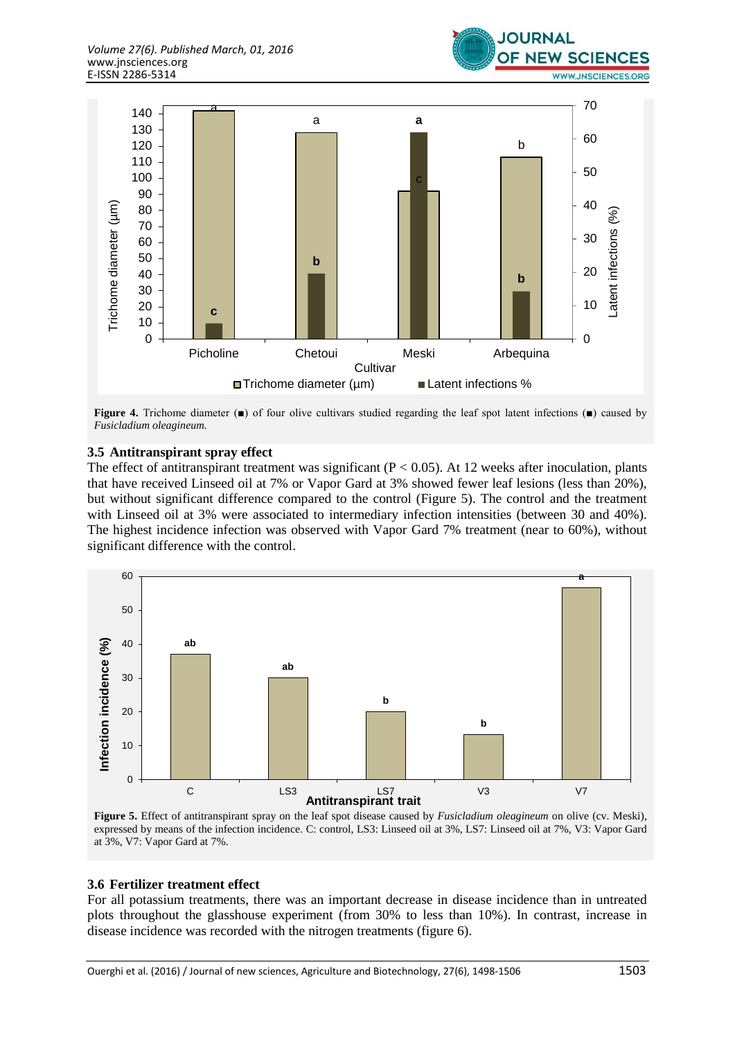



**Figure 4.** Trichome diameter (■) of four olive cultivars studied regarding the leaf spot latent infections (■) caused by *Fusicladium oleagineum.*

#### **3.5 Antitranspirant spray effect**

The effect of antitranspirant treatment was significant ( $P < 0.05$ ). At 12 weeks after inoculation, plants that have received Linseed oil at 7% or Vapor Gard at 3% showed fewer leaf lesions (less than 20%), but without significant difference compared to the control (Figure 5). The control and the treatment with Linseed oil at 3% were associated to intermediary infection intensities (between 30 and 40%). The highest incidence infection was observed with Vapor Gard 7% treatment (near to 60%), without significant difference with the control.



**Figure 5.** Effect of antitranspirant spray on the leaf spot disease caused by *Fusicladium oleagineum* on olive (cv. Meski), expressed by means of the infection incidence. C: control, LS3: Linseed oil at 3%, LS7: Linseed oil at 7%, V3: Vapor Gard at 3%, V7: Vapor Gard at 7%.

#### **3.6 Fertilizer treatment effect**

For all potassium treatments, there was an important decrease in disease incidence than in untreated plots throughout the glasshouse experiment (from 30% to less than 10%). In contrast, increase in disease incidence was recorded with the nitrogen treatments (figure 6).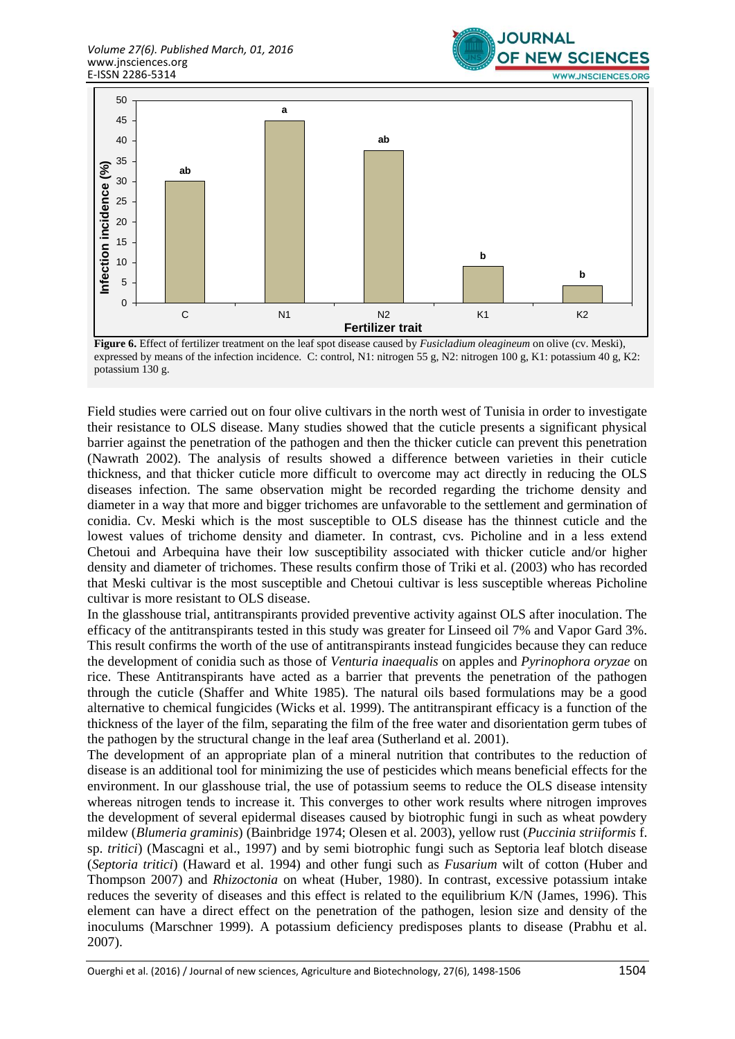



**Figure 6.** Effect of fertilizer treatment on the leaf spot disease caused by *Fusicladium oleagineum* on olive (cv. Meski), expressed by means of the infection incidence. C: control, N1: nitrogen 55 g, N2: nitrogen 100 g, K1: potassium 40 g, K2: potassium 130 g.

Field studies were carried out on four olive cultivars in the north west of Tunisia in order to investigate their resistance to OLS disease. Many studies showed that the cuticle presents a significant physical barrier against the penetration of the pathogen and then the thicker cuticle can prevent this penetration (Nawrath 2002). The analysis of results showed a difference between varieties in their cuticle thickness, and that thicker cuticle more difficult to overcome may act directly in reducing the OLS diseases infection. The same observation might be recorded regarding the trichome density and diameter in a way that more and bigger trichomes are unfavorable to the settlement and germination of conidia. Cv. Meski which is the most susceptible to OLS disease has the thinnest cuticle and the lowest values of trichome density and diameter. In contrast, cvs. Picholine and in a less extend Chetoui and Arbequina have their low susceptibility associated with thicker cuticle and/or higher density and diameter of trichomes. These results confirm those of Triki et al. (2003) who has recorded that Meski cultivar is the most susceptible and Chetoui cultivar is less susceptible whereas Picholine cultivar is more resistant to OLS disease.

In the glasshouse trial, antitranspirants provided preventive activity against OLS after inoculation. The efficacy of the antitranspirants tested in this study was greater for Linseed oil 7% and Vapor Gard 3%. This result confirms the worth of the use of antitranspirants instead fungicides because they can reduce the development of conidia such as those of *Venturia inaequalis* on apples and *Pyrinophora oryzae* on rice. These Antitranspirants have acted as a barrier that prevents the penetration of the pathogen through the cuticle (Shaffer and White 1985). The natural oils based formulations may be a good alternative to chemical fungicides (Wicks et al. 1999). The antitranspirant efficacy is a function of the thickness of the layer of the film, separating the film of the free water and disorientation germ tubes of the pathogen by the structural change in the leaf area (Sutherland et al. 2001).

The development of an appropriate plan of a mineral nutrition that contributes to the reduction of disease is an additional tool for minimizing the use of pesticides which means beneficial effects for the environment. In our glasshouse trial, the use of potassium seems to reduce the OLS disease intensity whereas nitrogen tends to increase it. This converges to other work results where nitrogen improves the development of several epidermal diseases caused by biotrophic fungi in such as wheat powdery mildew (*Blumeria graminis*) (Bainbridge 1974; Olesen et al. 2003), yellow rust (*Puccinia striiformis* f. sp. *tritici*) (Mascagni et al., 1997) and by semi biotrophic fungi such as Septoria leaf blotch disease (*Septoria tritici*) (Haward et al. 1994) and other fungi such as *Fusarium* wilt of cotton (Huber and Thompson 2007) and *Rhizoctonia* on wheat (Huber, 1980). In contrast, excessive potassium intake reduces the severity of diseases and this effect is related to the equilibrium K/N (James, 1996). This element can have a direct effect on the penetration of the pathogen, lesion size and density of the inoculums (Marschner 1999). A potassium deficiency predisposes plants to disease (Prabhu et al. 2007).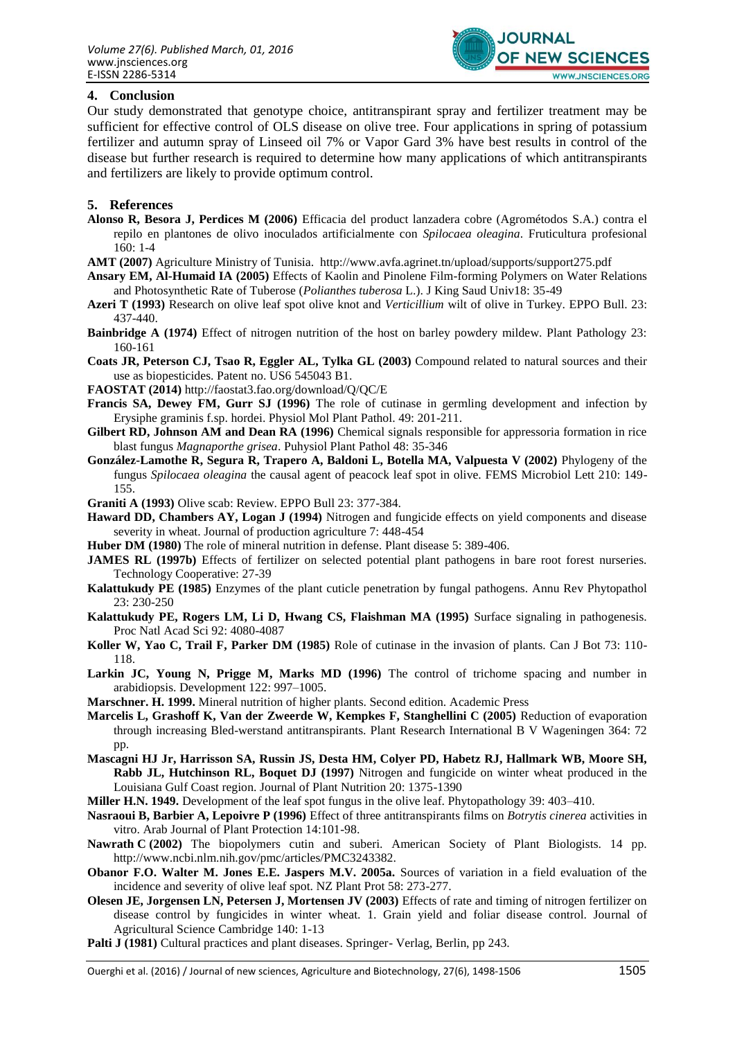

#### **4. Conclusion**

Our study demonstrated that genotype choice, antitranspirant spray and fertilizer treatment may be sufficient for effective control of OLS disease on olive tree. Four applications in spring of potassium fertilizer and autumn spray of Linseed oil 7% or Vapor Gard 3% have best results in control of the disease but further research is required to determine how many applications of which antitranspirants and fertilizers are likely to provide optimum control.

#### **5. References**

- **Alonso R, Besora J, Perdices M (2006)** Efficacia del product lanzadera cobre (Agrométodos S.A.) contra el repilo en plantones de olivo inoculados artificialmente con *Spilocaea oleagina*. [Fruticultura profesional](http://dialnet.unirioja.es/servlet/revista?codigo=606) 160: 1-4
- **AMT (2007)** Agriculture Ministry of Tunisia. http://www.avfa.agrinet.tn/upload/supports/support275.pdf
- **Ansary EM, Al-Humaid IA (2005)** Effects of Kaolin and Pinolene Film-forming Polymers on Water Relations and Photosynthetic Rate of Tuberose (*Polianthes tuberosa* L.). J King Saud Univ18: 35-49
- **Azeri T (1993)** Research on olive leaf spot olive knot and *Verticillium* wilt of olive in Turkey. EPPO Bull. 23: 437-440.
- **Bainbridge A (1974)** Effect of nitrogen nutrition of the host on barley powdery mildew. Plant Pathology 23: 160-161
- **Coats JR, Peterson CJ, Tsao R, Eggler AL, Tylka GL (2003)** Compound related to natural sources and their use as biopesticides. Patent no. US6 545043 B1.
- **FAOSTAT (2014)** http://faostat3.fao.org/download/Q/QC/E
- **Francis SA, Dewey FM, Gurr SJ (1996)** The role of cutinase in germling development and infection by Erysiphe graminis f.sp. hordei. Physiol Mol Plant Pathol. 49: 201-211.
- **Gilbert RD, Johnson AM and Dean RA (1996)** Chemical signals responsible for appressoria formation in rice blast fungus *Magnaporthe grisea*. Puhysiol Plant Pathol 48: 35-346
- **González-Lamothe R, Segura R, Trapero A, Baldoni L, Botella MA, Valpuesta V (2002)** Phylogeny of the fungus *Spilocaea oleagina* the causal agent of peacock leaf spot in olive. FEMS Microbiol Lett 210: 149- 155.
- **Graniti A (1993)** Olive scab: Review. EPPO Bull 23: 377-384.
- **Haward DD, Chambers AY, Logan J (1994)** Nitrogen and fungicide effects on yield components and disease severity in wheat. Journal of production agriculture 7: 448-454
- **Huber DM (1980)** The role of mineral nutrition in defense. Plant disease 5: 389-406.
- **JAMES RL (1997b)** Effects of fertilizer on selected potential plant pathogens in bare root forest nurseries. Technology Cooperative: 27-39
- **Kalattukudy PE (1985)** Enzymes of the plant cuticle penetration by fungal pathogens. Annu Rev Phytopathol 23: 230-250
- **Kalattukudy PE, Rogers LM, Li D, Hwang CS, Flaishman MA (1995)** Surface signaling in pathogenesis. Proc Natl Acad Sci 92: 4080-4087
- **Koller W, Yao C, Trail F, Parker DM (1985)** Role of cutinase in the invasion of plants. Can J Bot 73: 110- 118.
- Larkin JC, Young N, Prigge M, Marks MD (1996) The control of trichome spacing and number in arabidiopsis. Development 122: 997–1005.
- **Marschner. H. 1999.** Mineral nutrition of higher plants. Second edition. Academic Press
- **Marcelis L, Grashoff K, Van der Zweerde W, Kempkes F, Stanghellini C (2005)** Reduction of evaporation through increasing Bled-werstand antitranspirants. Plant Research International B V Wageningen 364: 72 pp.
- **Mascagni HJ Jr, Harrisson SA, Russin JS, Desta HM, Colyer PD, Habetz RJ, Hallmark WB, Moore SH, Rabb JL, Hutchinson RL, Boquet DJ (1997)** Nitrogen and fungicide on winter wheat produced in the Louisiana Gulf Coast region. Journal of Plant Nutrition 20: 1375-1390
- **Miller H.N. 1949.** Development of the leaf spot fungus in the olive leaf. Phytopathology 39: 403–410.
- **Nasraoui B, Barbier A, Lepoivre P (1996)** Effect of three antitranspirants films on *Botrytis cinerea* activities in vitro. Arab Journal of Plant Protection 14:101-98.
- **Nawrath C (2002)** The biopolymers cutin and suberi. American Society of Plant Biologists. 14 pp. http://www.ncbi.nlm.nih.gov/pmc/articles/PMC3243382.
- **Obanor F.O. Walter M. Jones E.E. Jaspers M.V. 2005a.** Sources of variation in a field evaluation of the incidence and severity of olive leaf spot. NZ Plant Prot 58: 273-277.
- **Olesen JE, Jorgensen LN, Petersen J, Mortensen JV (2003)** Effects of rate and timing of nitrogen fertilizer on disease control by fungicides in winter wheat. 1. Grain yield and foliar disease control. Journal of Agricultural Science Cambridge 140: 1-13
- Palti J (1981) Cultural practices and plant diseases. Springer- Verlag, Berlin, pp 243.